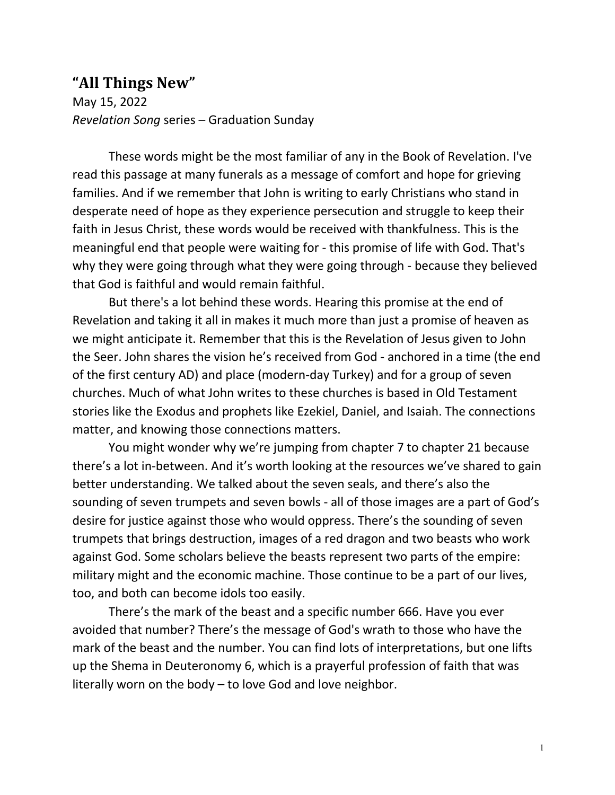## **"All Things New"**

May 15, 2022 *Revelation Song* series – Graduation Sunday

These words might be the most familiar of any in the Book of Revelation. I've read this passage at many funerals as a message of comfort and hope for grieving families. And if we remember that John is writing to early Christians who stand in desperate need of hope as they experience persecution and struggle to keep their faith in Jesus Christ, these words would be received with thankfulness. This is the meaningful end that people were waiting for - this promise of life with God. That's why they were going through what they were going through - because they believed that God is faithful and would remain faithful.

But there's a lot behind these words. Hearing this promise at the end of Revelation and taking it all in makes it much more than just a promise of heaven as we might anticipate it. Remember that this is the Revelation of Jesus given to John the Seer. John shares the vision he's received from God - anchored in a time (the end of the first century AD) and place (modern-day Turkey) and for a group of seven churches. Much of what John writes to these churches is based in Old Testament stories like the Exodus and prophets like Ezekiel, Daniel, and Isaiah. The connections matter, and knowing those connections matters.

You might wonder why we're jumping from chapter 7 to chapter 21 because there's a lot in-between. And it's worth looking at the resources we've shared to gain better understanding. We talked about the seven seals, and there's also the sounding of seven trumpets and seven bowls - all of those images are a part of God's desire for justice against those who would oppress. There's the sounding of seven trumpets that brings destruction, images of a red dragon and two beasts who work against God. Some scholars believe the beasts represent two parts of the empire: military might and the economic machine. Those continue to be a part of our lives, too, and both can become idols too easily.

There's the mark of the beast and a specific number 666. Have you ever avoided that number? There's the message of God's wrath to those who have the mark of the beast and the number. You can find lots of interpretations, but one lifts up the Shema in Deuteronomy 6, which is a prayerful profession of faith that was literally worn on the body – to love God and love neighbor.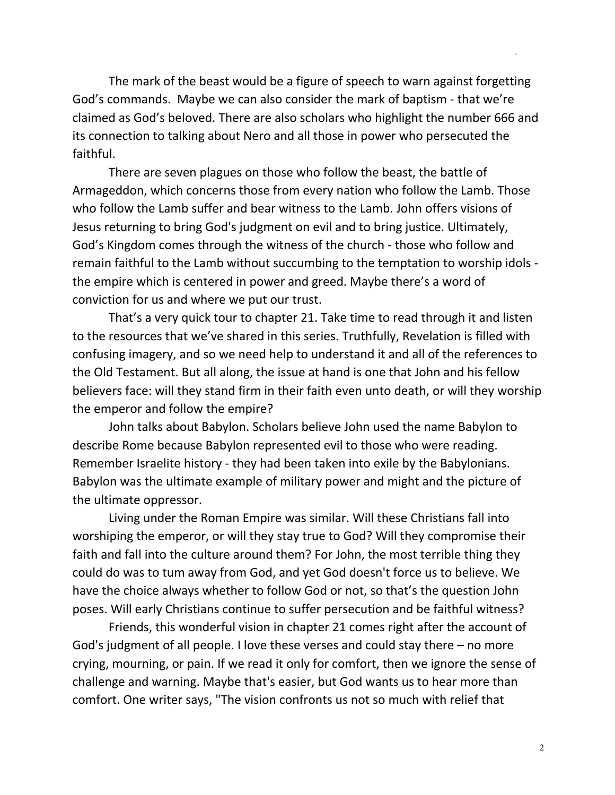The mark of the beast would be a figure of speech to warn against forgetting God's commands. Maybe we can also consider the mark of baptism - that we're claimed as God's beloved. There are also scholars who highlight the number 666 and its connection to talking about Nero and all those in power who persecuted the faithful.

There are seven plagues on those who follow the beast, the battle of Armageddon, which concerns those from every nation who follow the Lamb. Those who follow the Lamb suffer and bear witness to the Lamb. John offers visions of Jesus returning to bring God's judgment on evil and to bring justice. Ultimately, God's Kingdom comes through the witness of the church - those who follow and remain faithful to the Lamb without succumbing to the temptation to worship idols the empire which is centered in power and greed. Maybe there's a word of conviction for us and where we put our trust.

That's a very quick tour to chapter 21. Take time to read through it and listen to the resources that we've shared in this series. Truthfully, Revelation is filled with confusing imagery, and so we need help to understand it and all of the references to the Old Testament. But all along, the issue at hand is one that John and his fellow believers face: will they stand firm in their faith even unto death, or will they worship the emperor and follow the empire?

John talks about Babylon. Scholars believe John used the name Babylon to describe Rome because Babylon represented evil to those who were reading. Remember Israelite history - they had been taken into exile by the Babylonians. Babylon was the ultimate example of military power and might and the picture of the ultimate oppressor.

Living under the Roman Empire was similar. Will these Christians fall into worshiping the emperor, or will they stay true to God? Will they compromise their faith and fall into the culture around them? For John, the most terrible thing they could do was to tum away from God, and yet God doesn't force us to believe. We have the choice always whether to follow God or not, so that's the question John poses. Will early Christians continue to suffer persecution and be faithful witness?

Friends, this wonderful vision in chapter 21 comes right after the account of God's judgment of all people. I love these verses and could stay there – no more crying, mourning, or pain. If we read it only for comfort, then we ignore the sense of challenge and warning. Maybe that's easier, but God wants us to hear more than comfort. One writer says, "The vision confronts us not so much with relief that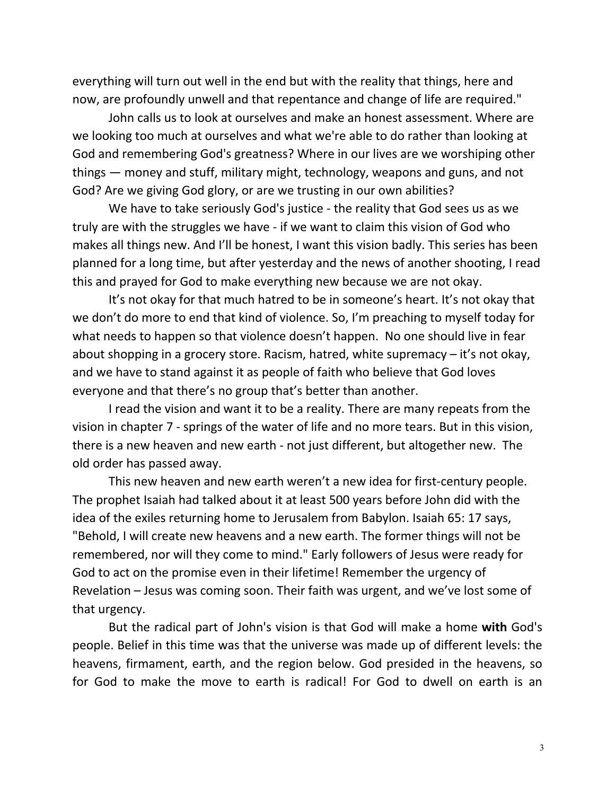everything will turn out well in the end but with the reality that things, here and now, are profoundly unwell and that repentance and change of life are required."

John calls us to look at ourselves and make an honest assessment. Where are we looking too much at ourselves and what we're able to do rather than looking at God and remembering God's greatness? Where in our lives are we worshiping other things — money and stuff, military might, technology, weapons and guns, and not God? Are we giving God glory, or are we trusting in our own abilities?

We have to take seriously God's justice - the reality that God sees us as we truly are with the struggles we have - if we want to claim this vision of God who makes all things new. And I'll be honest, I want this vision badly. This series has been planned for a long time, but after yesterday and the news of another shooting, I read this and prayed for God to make everything new because we are not okay.

It's not okay for that much hatred to be in someone's heart. It's not okay that we don't do more to end that kind of violence. So, I'm preaching to myself today for what needs to happen so that violence doesn't happen. No one should live in fear about shopping in a grocery store. Racism, hatred, white supremacy – it's not okay, and we have to stand against it as people of faith who believe that God loves everyone and that there's no group that's better than another.

I read the vision and want it to be a reality. There are many repeats from the vision in chapter 7 - springs of the water of life and no more tears. But in this vision, there is a new heaven and new earth - not just different, but altogether new. The old order has passed away.

This new heaven and new earth weren't a new idea for first-century people. The prophet Isaiah had talked about it at least 500 years before John did with the idea of the exiles returning home to Jerusalem from Babylon. Isaiah 65: 17 says, "Behold, I will create new heavens and a new earth. The former things will not be remembered, nor will they come to mind." Early followers of Jesus were ready for God to act on the promise even in their lifetime! Remember the urgency of Revelation – Jesus was coming soon. Their faith was urgent, and we've lost some of that urgency.

But the radical part of John's vision is that God will make a home **with** God's people. Belief in this time was that the universe was made up of different levels: the heavens, firmament, earth, and the region below. God presided in the heavens, so for God to make the move to earth is radical! For God to dwell on earth is an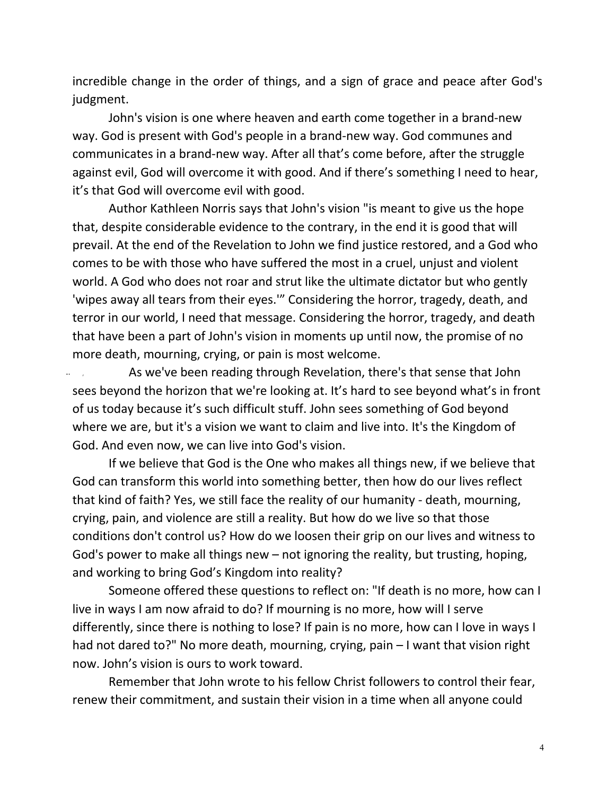incredible change in the order of things, and a sign of grace and peace after God's judgment.

John's vision is one where heaven and earth come together in a brand-new way. God is present with God's people in a brand-new way. God communes and communicates in a brand-new way. After all that's come before, after the struggle against evil, God will overcome it with good. And if there's something I need to hear, it's that God will overcome evil with good.

Author Kathleen Norris says that John's vision "is meant to give us the hope that, despite considerable evidence to the contrary, in the end it is good that will prevail. At the end of the Revelation to John we find justice restored, and a God who comes to be with those who have suffered the most in a cruel, unjust and violent world. A God who does not roar and strut like the ultimate dictator but who gently 'wipes away all tears from their eyes.'" Considering the horror, tragedy, death, and terror in our world, I need that message. Considering the horror, tragedy, and death that have been a part of John's vision in moments up until now, the promise of no more death, mourning, crying, or pain is most welcome.

As we've been reading through Revelation, there's that sense that John sees beyond the horizon that we're looking at. It's hard to see beyond what's in front of us today because it's such difficult stuff. John sees something of God beyond where we are, but it's a vision we want to claim and live into. It's the Kingdom of God. And even now, we can live into God's vision.

If we believe that God is the One who makes all things new, if we believe that God can transform this world into something better, then how do our lives reflect that kind of faith? Yes, we still face the reality of our humanity - death, mourning, crying, pain, and violence are still a reality. But how do we live so that those conditions don't control us? How do we loosen their grip on our lives and witness to God's power to make all things new – not ignoring the reality, but trusting, hoping, and working to bring God's Kingdom into reality?

Someone offered these questions to reflect on: "If death is no more, how can I live in ways I am now afraid to do? If mourning is no more, how will I serve differently, since there is nothing to lose? If pain is no more, how can I love in ways I had not dared to?" No more death, mourning, crying, pain – I want that vision right now. John's vision is ours to work toward.

Remember that John wrote to his fellow Christ followers to control their fear, renew their commitment, and sustain their vision in a time when all anyone could